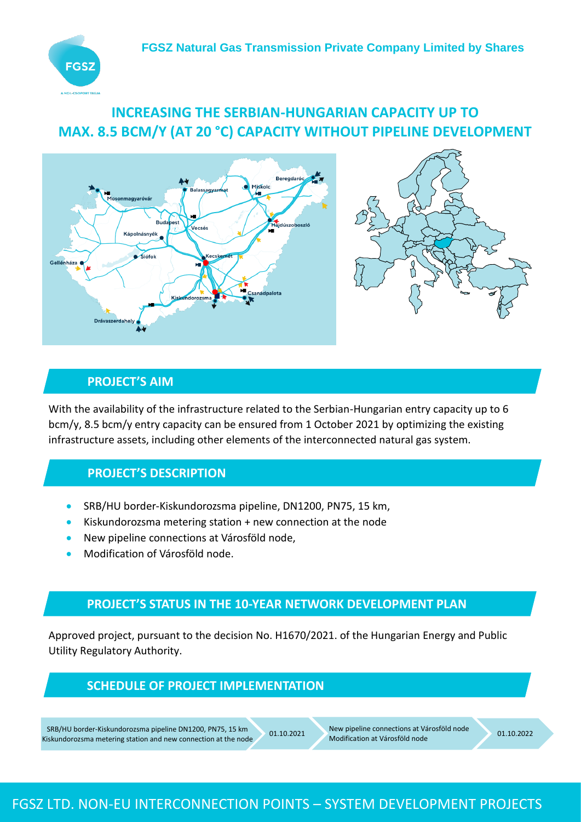

# **INCREASING THE SERBIAN-HUNGARIAN CAPACITY UP TO MAX. 8.5 BCM/Y (AT 20 °C) CAPACITY WITHOUT PIPELINE DEVELOPMENT**





#### **PROJECT'S AIM**

With the availability of the infrastructure related to the Serbian-Hungarian entry capacity up to 6 bcm/y, 8.5 bcm/y entry capacity can be ensured from 1 October 2021 by optimizing the existing infrastructure assets, including other elements of the interconnected natural gas system.

#### **PROJECT'S DESCRIPTION**

- SRB/HU border-Kiskundorozsma pipeline, DN1200, PN75, 15 km,
- Kiskundorozsma metering station + new connection at the node
- New pipeline connections at Városföld node,
- Modification of Városföld node.

#### **PROJECT'S STATUS IN THE 10-YEAR NETWORK DEVELOPMENT PLAN**

Approved project, pursuant to the decision No. H1670/2021. of the Hungarian Energy and Public Utility Regulatory Authority.

#### **SCHEDULE OF PROJECT IMPLEMENTATION**

SRB/HU border-Kiskundorozsma pipeline DN1200, PN75, 15 km Kiskundorozsma metering station and new connection at the node

01.10.2021 New pipeline connections at Városföld node New pipeline connections at Varosföld node<br>Modification at Városföld node 01.10.2022

## FGSZ LTD. NON-EU INTERCONNECTION POINTS – SYSTEM DEVELOPMENT PROJECTS